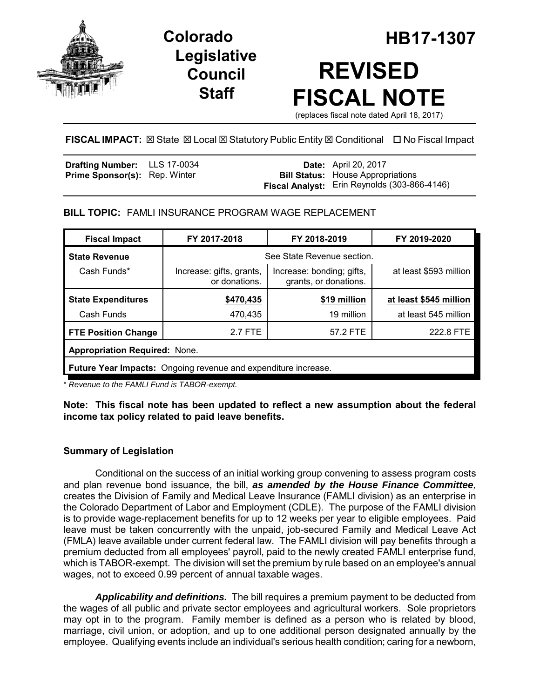

**Legislative Council Staff**

# **Colorado HB17-1307 REVISED FISCAL NOTE**

(replaces fiscal note dated April 18, 2017)

# **FISCAL IMPACT:** ⊠ State ⊠ Local ⊠ Statutory Public Entity ⊠ Conditional □ No Fiscal Impact

| <b>Drafting Number:</b> LLS 17-0034  |  | <b>Date:</b> April 20, 2017                         |
|--------------------------------------|--|-----------------------------------------------------|
| <b>Prime Sponsor(s): Rep. Winter</b> |  | <b>Bill Status:</b> House Appropriations            |
|                                      |  | <b>Fiscal Analyst:</b> Erin Reynolds (303-866-4146) |

## **BILL TOPIC:** FAMLI INSURANCE PROGRAM WAGE REPLACEMENT

| <b>Fiscal Impact</b>                                           | FY 2018-2019<br>FY 2017-2018              |                                                    | FY 2019-2020           |  |  |
|----------------------------------------------------------------|-------------------------------------------|----------------------------------------------------|------------------------|--|--|
| <b>State Revenue</b>                                           | See State Revenue section.                |                                                    |                        |  |  |
| Cash Funds*                                                    | Increase: gifts, grants,<br>or donations. | Increase: bonding; gifts,<br>grants, or donations. | at least \$593 million |  |  |
| <b>State Expenditures</b>                                      | \$470,435                                 | \$19 million                                       | at least \$545 million |  |  |
| Cash Funds                                                     | 470,435                                   | 19 million                                         | at least 545 million   |  |  |
| <b>FTE Position Change</b>                                     | 2.7 FTE                                   | 57.2 FTE                                           | 222.8 FTE              |  |  |
| <b>Appropriation Required: None.</b>                           |                                           |                                                    |                        |  |  |
| Future Year Impacts: Ongoing revenue and expenditure increase. |                                           |                                                    |                        |  |  |

\* *Revenue to the FAMLI Fund is TABOR-exempt.*

**Note: This fiscal note has been updated to reflect a new assumption about the federal income tax policy related to paid leave benefits.**

# **Summary of Legislation**

Conditional on the success of an initial working group convening to assess program costs and plan revenue bond issuance, the bill, *as amended by the House Finance Committee,* creates the Division of Family and Medical Leave Insurance (FAMLI division) as an enterprise in the Colorado Department of Labor and Employment (CDLE). The purpose of the FAMLI division is to provide wage-replacement benefits for up to 12 weeks per year to eligible employees. Paid leave must be taken concurrently with the unpaid, job-secured Family and Medical Leave Act (FMLA) leave available under current federal law. The FAMLI division will pay benefits through a premium deducted from all employees' payroll, paid to the newly created FAMLI enterprise fund, which is TABOR-exempt. The division will set the premium by rule based on an employee's annual wages, not to exceed 0.99 percent of annual taxable wages.

*Applicability and definitions.* The bill requires a premium payment to be deducted from the wages of all public and private sector employees and agricultural workers. Sole proprietors may opt in to the program. Family member is defined as a person who is related by blood, marriage, civil union, or adoption, and up to one additional person designated annually by the employee. Qualifying events include an individual's serious health condition; caring for a newborn,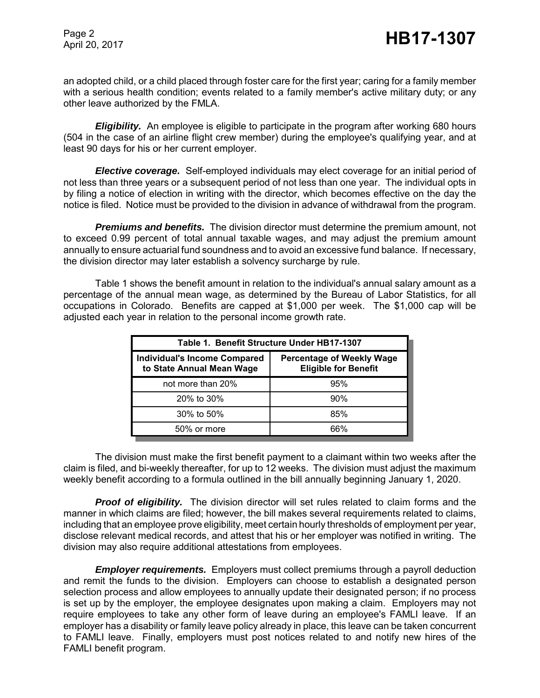an adopted child, or a child placed through foster care for the first year; caring for a family member with a serious health condition; events related to a family member's active military duty; or any other leave authorized by the FMLA.

**Eligibility.** An employee is eligible to participate in the program after working 680 hours (504 in the case of an airline flight crew member) during the employee's qualifying year, and at least 90 days for his or her current employer.

*Elective coverage.* Self-employed individuals may elect coverage for an initial period of not less than three years or a subsequent period of not less than one year. The individual opts in by filing a notice of election in writing with the director, which becomes effective on the day the notice is filed. Notice must be provided to the division in advance of withdrawal from the program.

*Premiums and benefits.* The division director must determine the premium amount, not to exceed 0.99 percent of total annual taxable wages, and may adjust the premium amount annually to ensure actuarial fund soundness and to avoid an excessive fund balance. If necessary, the division director may later establish a solvency surcharge by rule.

Table 1 shows the benefit amount in relation to the individual's annual salary amount as a percentage of the annual mean wage, as determined by the Bureau of Labor Statistics, for all occupations in Colorado. Benefits are capped at \$1,000 per week. The \$1,000 cap will be adjusted each year in relation to the personal income growth rate.

| Table 1. Benefit Structure Under HB17-1307                       |                                                                 |  |  |  |
|------------------------------------------------------------------|-----------------------------------------------------------------|--|--|--|
| <b>Individual's Income Compared</b><br>to State Annual Mean Wage | <b>Percentage of Weekly Wage</b><br><b>Eligible for Benefit</b> |  |  |  |
| not more than 20%                                                | 95%                                                             |  |  |  |
| 20% to 30%                                                       | 90%                                                             |  |  |  |
| 30% to 50%                                                       | 85%                                                             |  |  |  |
| 50% or more                                                      | 66%                                                             |  |  |  |

The division must make the first benefit payment to a claimant within two weeks after the claim is filed, and bi-weekly thereafter, for up to 12 weeks. The division must adjust the maximum weekly benefit according to a formula outlined in the bill annually beginning January 1, 2020.

*Proof of eligibility.* The division director will set rules related to claim forms and the manner in which claims are filed; however, the bill makes several requirements related to claims, including that an employee prove eligibility, meet certain hourly thresholds of employment per year, disclose relevant medical records, and attest that his or her employer was notified in writing. The division may also require additional attestations from employees.

*Employer requirements.* Employers must collect premiums through a payroll deduction and remit the funds to the division. Employers can choose to establish a designated person selection process and allow employees to annually update their designated person; if no process is set up by the employer, the employee designates upon making a claim. Employers may not require employees to take any other form of leave during an employee's FAMLI leave. If an employer has a disability or family leave policy already in place, this leave can be taken concurrent to FAMLI leave. Finally, employers must post notices related to and notify new hires of the FAMLI benefit program.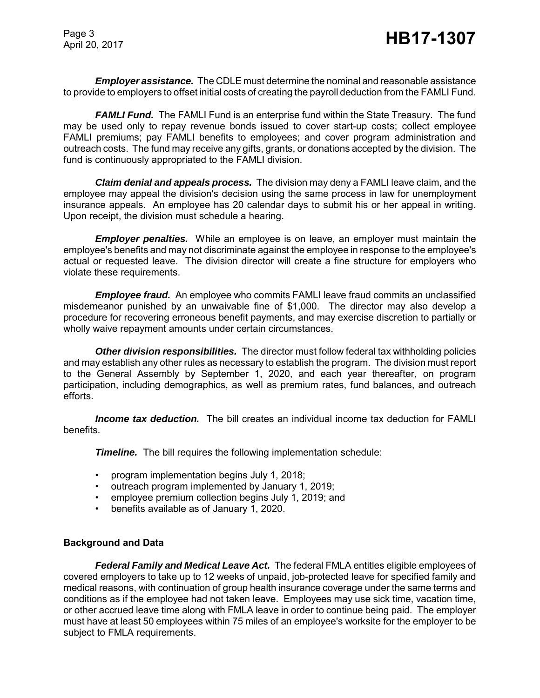Page 3

*Employer assistance.* The CDLE must determine the nominal and reasonable assistance to provide to employers to offset initial costs of creating the payroll deduction from the FAMLI Fund.

*FAMLI Fund.* The FAMLI Fund is an enterprise fund within the State Treasury. The fund may be used only to repay revenue bonds issued to cover start-up costs; collect employee FAMLI premiums; pay FAMLI benefits to employees; and cover program administration and outreach costs. The fund may receive any gifts, grants, or donations accepted by the division. The fund is continuously appropriated to the FAMLI division.

*Claim denial and appeals process.* The division may deny a FAMLI leave claim, and the employee may appeal the division's decision using the same process in law for unemployment insurance appeals. An employee has 20 calendar days to submit his or her appeal in writing. Upon receipt, the division must schedule a hearing.

*Employer penalties.* While an employee is on leave, an employer must maintain the employee's benefits and may not discriminate against the employee in response to the employee's actual or requested leave. The division director will create a fine structure for employers who violate these requirements.

*Employee fraud.* An employee who commits FAMLI leave fraud commits an unclassified misdemeanor punished by an unwaivable fine of \$1,000. The director may also develop a procedure for recovering erroneous benefit payments, and may exercise discretion to partially or wholly waive repayment amounts under certain circumstances.

*Other division responsibilities.* The director must follow federal tax withholding policies and may establish any other rules as necessary to establish the program. The division must report to the General Assembly by September 1, 2020, and each year thereafter, on program participation, including demographics, as well as premium rates, fund balances, and outreach efforts.

*Income tax deduction.* The bill creates an individual income tax deduction for FAMLI benefits.

*Timeline.* The bill requires the following implementation schedule:

- program implementation begins July 1, 2018;
- outreach program implemented by January 1, 2019;
- employee premium collection begins July 1, 2019; and
- benefits available as of January 1, 2020.

## **Background and Data**

*Federal Family and Medical Leave Act.* The federal FMLA entitles eligible employees of covered employers to take up to 12 weeks of unpaid, job-protected leave for specified family and medical reasons, with continuation of group health insurance coverage under the same terms and conditions as if the employee had not taken leave. Employees may use sick time, vacation time, or other accrued leave time along with FMLA leave in order to continue being paid. The employer must have at least 50 employees within 75 miles of an employee's worksite for the employer to be subject to FMLA requirements.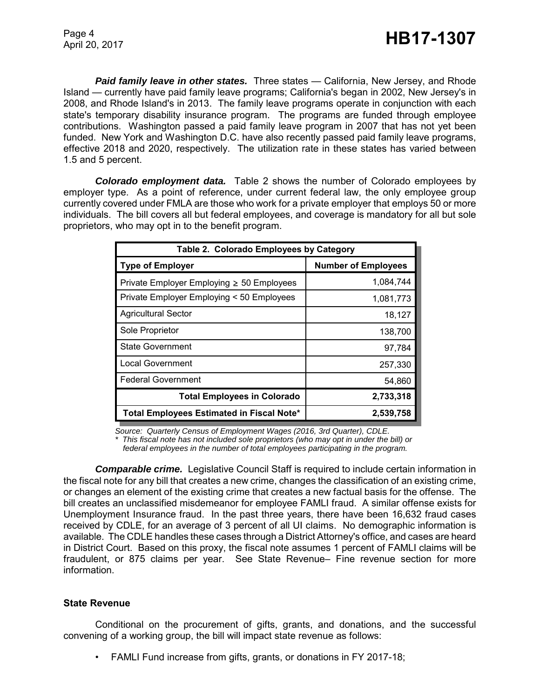*Paid family leave in other states.* Three states — California, New Jersey, and Rhode Island — currently have paid family leave programs; California's began in 2002, New Jersey's in 2008, and Rhode Island's in 2013. The family leave programs operate in conjunction with each state's temporary disability insurance program. The programs are funded through employee contributions. Washington passed a paid family leave program in 2007 that has not yet been funded. New York and Washington D.C. have also recently passed paid family leave programs, effective 2018 and 2020, respectively. The utilization rate in these states has varied between 1.5 and 5 percent.

*Colorado employment data.* Table 2 shows the number of Colorado employees by employer type. As a point of reference, under current federal law, the only employee group currently covered under FMLA are those who work for a private employer that employs 50 or more individuals. The bill covers all but federal employees, and coverage is mandatory for all but sole proprietors, who may opt in to the benefit program.

| Table 2. Colorado Employees by Category        |                            |  |  |  |
|------------------------------------------------|----------------------------|--|--|--|
| <b>Type of Employer</b>                        | <b>Number of Employees</b> |  |  |  |
| Private Employer Employing $\geq 50$ Employees | 1,084,744                  |  |  |  |
| Private Employer Employing < 50 Employees      | 1,081,773                  |  |  |  |
| <b>Agricultural Sector</b>                     | 18,127                     |  |  |  |
| Sole Proprietor                                | 138,700                    |  |  |  |
| <b>State Government</b>                        | 97,784                     |  |  |  |
| <b>Local Government</b>                        | 257,330                    |  |  |  |
| <b>Federal Government</b>                      | 54,860                     |  |  |  |
| <b>Total Employees in Colorado</b>             | 2,733,318                  |  |  |  |
| Total Employees Estimated in Fiscal Note*      | 2,539,758                  |  |  |  |

*Source: Quarterly Census of Employment Wages (2016, 3rd Quarter), CDLE.*

*\* This fiscal note has not included sole proprietors (who may opt in under the bill) or federal employees in the number of total employees participating in the program.*

*Comparable crime.*Legislative Council Staff is required to include certain information in the fiscal note for any bill that creates a new crime, changes the classification of an existing crime, or changes an element of the existing crime that creates a new factual basis for the offense. The bill creates an unclassified misdemeanor for employee FAMLI fraud. A similar offense exists for Unemployment Insurance fraud. In the past three years, there have been 16,632 fraud cases received by CDLE, for an average of 3 percent of all UI claims. No demographic information is available. The CDLE handles these cases through a District Attorney's office, and cases are heard in District Court. Based on this proxy, the fiscal note assumes 1 percent of FAMLI claims will be fraudulent, or 875 claims per year. See State Revenue– Fine revenue section for more information.

## **State Revenue**

Conditional on the procurement of gifts, grants, and donations, and the successful convening of a working group, the bill will impact state revenue as follows:

• FAMLI Fund increase from gifts, grants, or donations in FY 2017-18;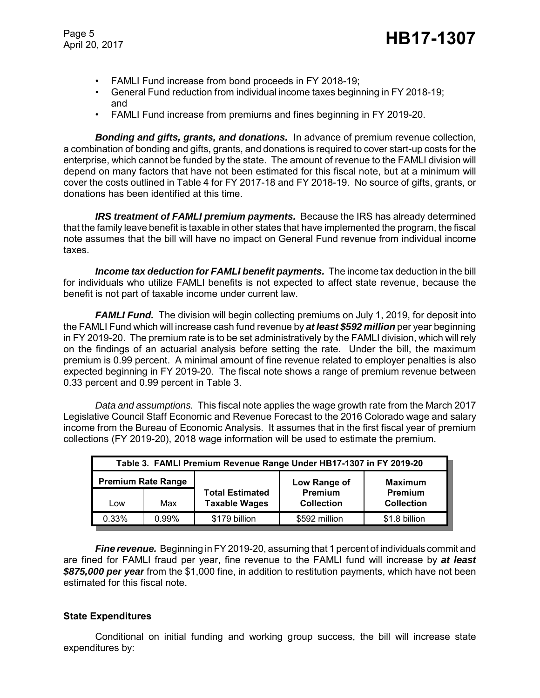Page 5

Page 5<br>April 20, 2017 **HB17-1307** 

- FAMLI Fund increase from bond proceeds in FY 2018-19;
- General Fund reduction from individual income taxes beginning in FY 2018-19; and
- FAMLI Fund increase from premiums and fines beginning in FY 2019-20.

*Bonding and gifts, grants, and donations.* In advance of premium revenue collection, a combination of bonding and gifts, grants, and donations is required to cover start-up costs for the enterprise, which cannot be funded by the state. The amount of revenue to the FAMLI division will depend on many factors that have not been estimated for this fiscal note, but at a minimum will cover the costs outlined in Table 4 for FY 2017-18 and FY 2018-19. No source of gifts, grants, or donations has been identified at this time.

*IRS treatment of FAMLI premium payments.* Because the IRS has already determined that the family leave benefit is taxable in other states that have implemented the program, the fiscal note assumes that the bill will have no impact on General Fund revenue from individual income taxes.

*Income tax deduction for FAMLI benefit payments.* The income tax deduction in the bill for individuals who utilize FAMLI benefits is not expected to affect state revenue, because the benefit is not part of taxable income under current law.

*FAMLI Fund.* The division will begin collecting premiums on July 1, 2019, for deposit into the FAMLI Fund which will increase cash fund revenue by *at least \$592 million* per year beginning in FY 2019-20. The premium rate is to be set administratively by the FAMLI division, which will rely on the findings of an actuarial analysis before setting the rate. Under the bill, the maximum premium is 0.99 percent. A minimal amount of fine revenue related to employer penalties is also expected beginning in FY 2019-20. The fiscal note shows a range of premium revenue between 0.33 percent and 0.99 percent in Table 3.

*Data and assumptions.* This fiscal note applies the wage growth rate from the March 2017 Legislative Council Staff Economic and Revenue Forecast to the 2016 Colorado wage and salary income from the Bureau of Economic Analysis. It assumes that in the first fiscal year of premium collections (FY 2019-20), 2018 wage information will be used to estimate the premium.

| Table 3. FAMLI Premium Revenue Range Under HB17-1307 in FY 2019-20 |       |                                                |                              |                                     |  |  |
|--------------------------------------------------------------------|-------|------------------------------------------------|------------------------------|-------------------------------------|--|--|
| <b>Premium Rate Range</b>                                          |       |                                                | Low Range of                 | <b>Maximum</b>                      |  |  |
| Low                                                                | Max   | <b>Total Estimated</b><br><b>Taxable Wages</b> | Premium<br><b>Collection</b> | <b>Premium</b><br><b>Collection</b> |  |  |
| 0.33%                                                              | 0.99% | \$179 billion                                  | \$592 million                | \$1.8 billion                       |  |  |

*Fine revenue.* Beginning in FY 2019-20, assuming that 1 percent of individuals commit and are fined for FAMLI fraud per year, fine revenue to the FAMLI fund will increase by *at least \$875,000 per year* from the \$1,000 fine, in addition to restitution payments, which have not been estimated for this fiscal note.

## **State Expenditures**

Conditional on initial funding and working group success, the bill will increase state expenditures by: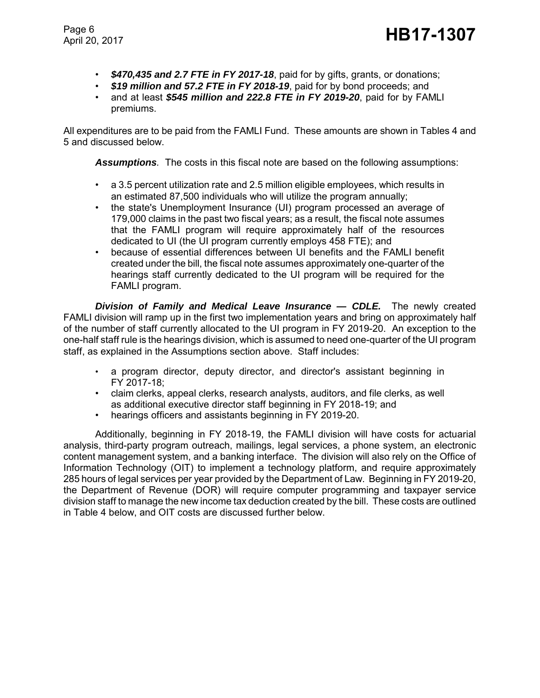- *\$470,435 and 2.7 FTE in FY 2017-18*, paid for by gifts, grants, or donations;
- *\$19 million and 57.2 FTE in FY 2018-19*, paid for by bond proceeds; and
- and at least *\$545 million and 222.8 FTE in FY 2019-20*, paid for by FAMLI premiums.

All expenditures are to be paid from the FAMLI Fund. These amounts are shown in Tables 4 and 5 and discussed below.

*Assumptions.* The costs in this fiscal note are based on the following assumptions:

- a 3.5 percent utilization rate and 2.5 million eligible employees, which results in an estimated 87,500 individuals who will utilize the program annually;
- the state's Unemployment Insurance (UI) program processed an average of 179,000 claims in the past two fiscal years; as a result, the fiscal note assumes that the FAMLI program will require approximately half of the resources dedicated to UI (the UI program currently employs 458 FTE); and
- because of essential differences between UI benefits and the FAMLI benefit created under the bill, the fiscal note assumes approximately one-quarter of the hearings staff currently dedicated to the UI program will be required for the FAMLI program.

*Division of Family and Medical Leave Insurance — CDLE.* The newly created FAMLI division will ramp up in the first two implementation years and bring on approximately half of the number of staff currently allocated to the UI program in FY 2019-20. An exception to the one-half staff rule is the hearings division, which is assumed to need one-quarter of the UI program staff, as explained in the Assumptions section above. Staff includes:

- a program director, deputy director, and director's assistant beginning in FY 2017-18;
- claim clerks, appeal clerks, research analysts, auditors, and file clerks, as well as additional executive director staff beginning in FY 2018-19; and
- hearings officers and assistants beginning in FY 2019-20.

Additionally, beginning in FY 2018-19, the FAMLI division will have costs for actuarial analysis, third-party program outreach, mailings, legal services, a phone system, an electronic content management system, and a banking interface. The division will also rely on the Office of Information Technology (OIT) to implement a technology platform, and require approximately 285 hours of legal services per year provided by the Department of Law. Beginning in FY 2019-20, the Department of Revenue (DOR) will require computer programming and taxpayer service division staff to manage the new income tax deduction created by the bill. These costs are outlined in Table 4 below, and OIT costs are discussed further below.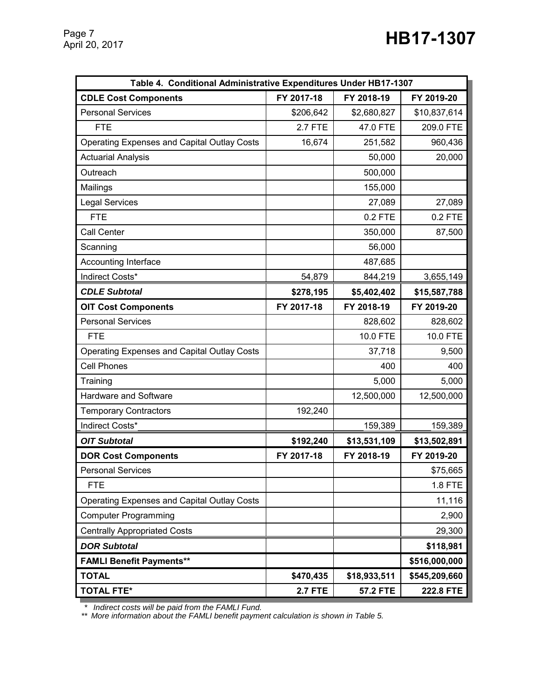| Table 4. Conditional Administrative Expenditures Under HB17-1307 |                |                 |               |  |  |
|------------------------------------------------------------------|----------------|-----------------|---------------|--|--|
| <b>CDLE Cost Components</b>                                      | FY 2017-18     | FY 2018-19      | FY 2019-20    |  |  |
| <b>Personal Services</b>                                         | \$206,642      | \$2,680,827     | \$10,837,614  |  |  |
| <b>FTE</b>                                                       | <b>2.7 FTE</b> | 47.0 FTE        | 209.0 FTE     |  |  |
| <b>Operating Expenses and Capital Outlay Costs</b>               | 16,674         | 251,582         | 960,436       |  |  |
| <b>Actuarial Analysis</b>                                        |                | 50,000          | 20,000        |  |  |
| Outreach                                                         |                | 500,000         |               |  |  |
| Mailings                                                         |                | 155,000         |               |  |  |
| <b>Legal Services</b>                                            |                | 27,089          | 27,089        |  |  |
| <b>FTE</b>                                                       |                | $0.2$ FTE       | $0.2$ FTE     |  |  |
| Call Center                                                      |                | 350,000         | 87,500        |  |  |
| Scanning                                                         |                | 56,000          |               |  |  |
| Accounting Interface                                             |                | 487,685         |               |  |  |
| Indirect Costs*                                                  | 54,879         | 844,219         | 3,655,149     |  |  |
| <b>CDLE Subtotal</b>                                             | \$278,195      | \$5,402,402     | \$15,587,788  |  |  |
| <b>OIT Cost Components</b>                                       | FY 2017-18     | FY 2018-19      | FY 2019-20    |  |  |
| <b>Personal Services</b>                                         |                | 828,602         | 828,602       |  |  |
| <b>FTE</b>                                                       |                | 10.0 FTE        | 10.0 FTE      |  |  |
| <b>Operating Expenses and Capital Outlay Costs</b>               |                | 37,718          | 9,500         |  |  |
| <b>Cell Phones</b>                                               |                | 400             | 400           |  |  |
| Training                                                         |                | 5,000           | 5,000         |  |  |
| Hardware and Software                                            |                | 12,500,000      | 12,500,000    |  |  |
| <b>Temporary Contractors</b>                                     | 192,240        |                 |               |  |  |
| Indirect Costs*                                                  |                | 159,389         | 159,389       |  |  |
| <b>OIT Subtotal</b>                                              | \$192,240      | \$13,531,109    | \$13,502,891  |  |  |
| <b>DOR Cost Components</b>                                       | FY 2017-18     | FY 2018-19      | FY 2019-20    |  |  |
| <b>Personal Services</b>                                         |                |                 | \$75,665      |  |  |
| <b>FTE</b>                                                       |                |                 | 1.8 FTE       |  |  |
| Operating Expenses and Capital Outlay Costs                      |                |                 | 11,116        |  |  |
| <b>Computer Programming</b>                                      |                |                 | 2,900         |  |  |
| <b>Centrally Appropriated Costs</b>                              |                |                 | 29,300        |  |  |
| <b>DOR Subtotal</b>                                              |                |                 | \$118,981     |  |  |
| <b>FAMLI Benefit Payments**</b>                                  |                |                 | \$516,000,000 |  |  |
| <b>TOTAL</b>                                                     | \$470,435      | \$18,933,511    | \$545,209,660 |  |  |
| <b>TOTAL FTE*</b>                                                | <b>2.7 FTE</b> | <b>57.2 FTE</b> | 222.8 FTE     |  |  |

 *\* Indirect costs will be paid from the FAMLI Fund.*

*\*\* More information about the FAMLI benefit payment calculation is shown in Table 5.*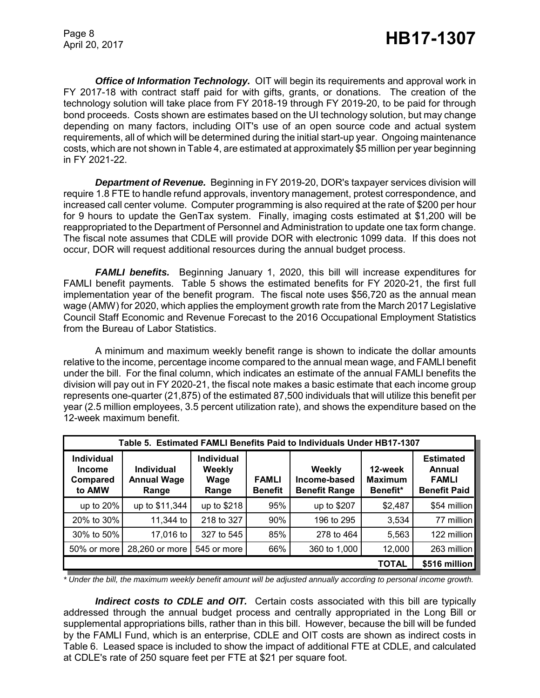*Office of Information Technology.* OIT will begin its requirements and approval work in FY 2017-18 with contract staff paid for with gifts, grants, or donations. The creation of the technology solution will take place from FY 2018-19 through FY 2019-20, to be paid for through bond proceeds. Costs shown are estimates based on the UI technology solution, but may change depending on many factors, including OIT's use of an open source code and actual system requirements, all of which will be determined during the initial start-up year. Ongoing maintenance costs, which are not shown in Table 4, are estimated at approximately \$5 million per year beginning in FY 2021-22.

*Department of Revenue.* Beginning in FY 2019-20, DOR's taxpayer services division will require 1.8 FTE to handle refund approvals, inventory management, protest correspondence, and increased call center volume. Computer programming is also required at the rate of \$200 per hour for 9 hours to update the GenTax system. Finally, imaging costs estimated at \$1,200 will be reappropriated to the Department of Personnel and Administration to update one tax form change. The fiscal note assumes that CDLE will provide DOR with electronic 1099 data. If this does not occur, DOR will request additional resources during the annual budget process.

*FAMLI benefits.*Beginning January 1, 2020, this bill will increase expenditures for FAMLI benefit payments. Table 5 shows the estimated benefits for FY 2020-21, the first full implementation year of the benefit program. The fiscal note uses \$56,720 as the annual mean wage (AMW) for 2020, which applies the employment growth rate from the March 2017 Legislative Council Staff Economic and Revenue Forecast to the 2016 Occupational Employment Statistics from the Bureau of Labor Statistics.

A minimum and maximum weekly benefit range is shown to indicate the dollar amounts relative to the income, percentage income compared to the annual mean wage, and FAMLI benefit under the bill. For the final column, which indicates an estimate of the annual FAMLI benefits the division will pay out in FY 2020-21, the fiscal note makes a basic estimate that each income group represents one-quarter (21,875) of the estimated 87,500 individuals that will utilize this benefit per year (2.5 million employees, 3.5 percent utilization rate), and shows the expenditure based on the 12-week maximum benefit.

| Table 5. Estimated FAMLI Benefits Paid to Individuals Under HB17-1307 |                                                  |                                              |                                |                                                |                                       |                                                                   |
|-----------------------------------------------------------------------|--------------------------------------------------|----------------------------------------------|--------------------------------|------------------------------------------------|---------------------------------------|-------------------------------------------------------------------|
| <b>Individual</b><br><b>Income</b><br>Compared<br>to AMW              | <b>Individual</b><br><b>Annual Wage</b><br>Range | <b>Individual</b><br>Weekly<br>Wage<br>Range | <b>FAMLI</b><br><b>Benefit</b> | Weekly<br>Income-based<br><b>Benefit Range</b> | 12-week<br><b>Maximum</b><br>Benefit* | <b>Estimated</b><br>Annual<br><b>FAMLI</b><br><b>Benefit Paid</b> |
| up to 20%                                                             | up to \$11,344                                   | up to \$218                                  | 95%                            | up to \$207                                    | \$2,487                               | \$54 million                                                      |
| 20% to 30%                                                            | 11,344 to                                        | 218 to 327                                   | 90%                            | 196 to 295                                     | 3,534                                 | 77 million                                                        |
| 30% to 50%                                                            | 17,016 to                                        | 327 to 545                                   | 85%                            | 278 to 464                                     | 5,563                                 | 122 million                                                       |
| 50% or more                                                           | 28,260 or more                                   | 545 or more                                  | 66%                            | 360 to 1,000                                   | 12,000                                | 263 million                                                       |
|                                                                       | <b>TOTAL</b>                                     |                                              |                                |                                                |                                       | \$516 million                                                     |

*\* Under the bill, the maximum weekly benefit amount will be adjusted annually according to personal income growth.*

*Indirect costs to CDLE and OIT.* Certain costs associated with this bill are typically addressed through the annual budget process and centrally appropriated in the Long Bill or supplemental appropriations bills, rather than in this bill. However, because the bill will be funded by the FAMLI Fund, which is an enterprise, CDLE and OIT costs are shown as indirect costs in Table 6. Leased space is included to show the impact of additional FTE at CDLE, and calculated at CDLE's rate of 250 square feet per FTE at \$21 per square foot.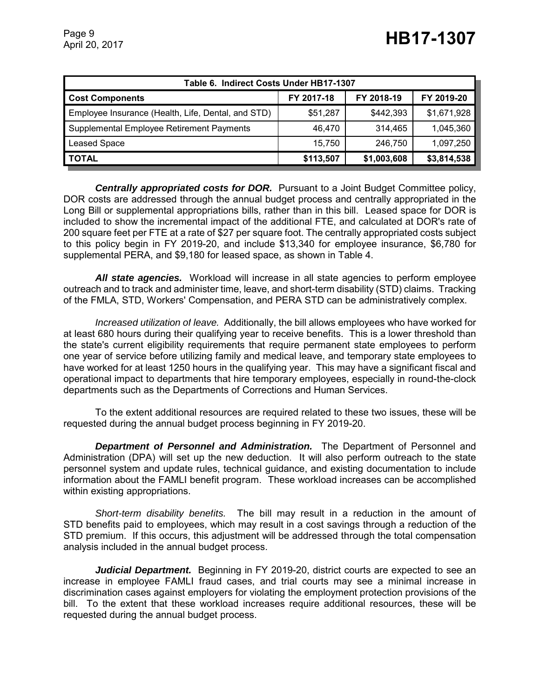| Table 6. Indirect Costs Under HB17-1307                          |          |           |             |  |  |
|------------------------------------------------------------------|----------|-----------|-------------|--|--|
| FY 2018-19<br>FY 2017-18<br>FY 2019-20<br><b>Cost Components</b> |          |           |             |  |  |
| Employee Insurance (Health, Life, Dental, and STD)               | \$51,287 | \$442,393 | \$1,671,928 |  |  |
| Supplemental Employee Retirement Payments                        | 46,470   | 314.465   | 1,045,360   |  |  |
| <b>Leased Space</b>                                              | 15.750   | 246,750   | 1,097,250   |  |  |
| <b>TOTAL</b><br>\$3,814,538<br>\$113,507<br>\$1,003,608          |          |           |             |  |  |

*Centrally appropriated costs for DOR.* Pursuant to a Joint Budget Committee policy, DOR costs are addressed through the annual budget process and centrally appropriated in the Long Bill or supplemental appropriations bills, rather than in this bill. Leased space for DOR is included to show the incremental impact of the additional FTE, and calculated at DOR's rate of 200 square feet per FTE at a rate of \$27 per square foot. The centrally appropriated costs subject to this policy begin in FY 2019-20, and include \$13,340 for employee insurance, \$6,780 for supplemental PERA, and \$9,180 for leased space, as shown in Table 4.

*All state agencies.* Workload will increase in all state agencies to perform employee outreach and to track and administer time, leave, and short-term disability (STD) claims. Tracking of the FMLA, STD, Workers' Compensation, and PERA STD can be administratively complex.

*Increased utilization of leave.* Additionally, the bill allows employees who have worked for at least 680 hours during their qualifying year to receive benefits. This is a lower threshold than the state's current eligibility requirements that require permanent state employees to perform one year of service before utilizing family and medical leave, and temporary state employees to have worked for at least 1250 hours in the qualifying year. This may have a significant fiscal and operational impact to departments that hire temporary employees, especially in round-the-clock departments such as the Departments of Corrections and Human Services.

To the extent additional resources are required related to these two issues, these will be requested during the annual budget process beginning in FY 2019-20.

*Department of Personnel and Administration.* The Department of Personnel and Administration (DPA) will set up the new deduction. It will also perform outreach to the state personnel system and update rules, technical guidance, and existing documentation to include information about the FAMLI benefit program. These workload increases can be accomplished within existing appropriations.

*Short-term disability benefits.* The bill may result in a reduction in the amount of STD benefits paid to employees, which may result in a cost savings through a reduction of the STD premium. If this occurs, this adjustment will be addressed through the total compensation analysis included in the annual budget process.

*Judicial Department.* Beginning in FY 2019-20, district courts are expected to see an increase in employee FAMLI fraud cases, and trial courts may see a minimal increase in discrimination cases against employers for violating the employment protection provisions of the bill. To the extent that these workload increases require additional resources, these will be requested during the annual budget process.